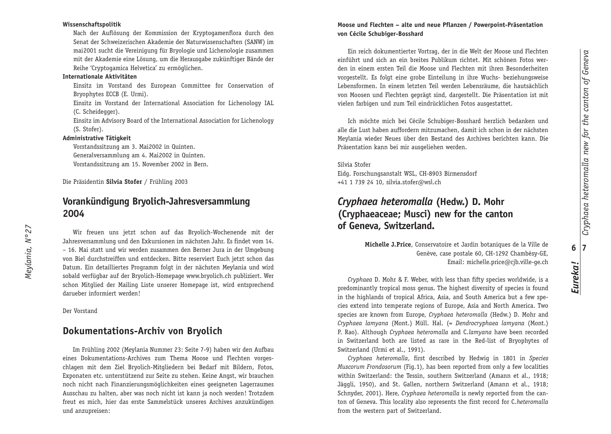# Cryphaea heteromalla new for the canton of Geneva *Cryphaea heteromalla new for the canton of Geneva* **6 7** *Eureka !*

#### **Wissenschaftspolitik**

Nach der Auflösung der Kommission der Kryptogamenflora durch den Senat der Schweizerischen Akademie der Naturwissenschaften (SANW) im mai 2001 sucht die Vereinigung für Bryologie und Lichenologie zusammen mit der Akademie eine Lösung, um die Herausgabe zukünftiger Bände der Reihe 'Cryptogamica Helvetica' zu ermöglichen.

#### **Internationale Aktivitäten**

Einsitz im Vorstand des European Committee for Conservation of Bryophytes ECCB (E. Urmi).

Einsitz im Vorstand der International Association for Lichenology IAL (C. Scheidegger).

Einsitz im Advisory Board of the International Association for Lichenology (S. Stofer).

#### **Administrative Tätigkeit**

Vorstandssitzung am 3. Mai 2002 in Quinten. Generalversammlung am 4. Mai 2002 in Quinten. Vorstandssitzung am 15. November 2002 in Bern.

Die Präsidentin **Silvia Stofer** / Frühling 2003

## **Vorankündigung Bryolich-Jahresversammlung 2004**

Wir freuen uns jetzt schon auf das Bryolich-Wochenende mit der Jahresversammlung und den Exkursionen im nächsten Jahr. Es findet vom 14. – 16. Mai statt und wir werden zusammen den Berner Jura in der Umgebung von Biel durchstreiffen und entdecken. Bitte reserviert Euch jetzt schon das Datum. Ein detailliertes Programm folgt in der nächsten Meylania und wird sobald verfügbar auf der Bryolich-Homepage www.bryolich.ch publiziert. Wer schon Mitglied der Mailing Liste unserer Homepage ist, wird entsprechend darueber informiert werden !

Der Vorstand

### **Dokumentations-Archiv von Bryolich**

Im Frühling 2002 (Meylania Nummer 23: Seite 7-9) haben wir den Aufbau eines Dokumentations-Archives zum Thema Moose und Flechten vorgeschlagen mit dem Ziel Bryolich-Mitgliedern bei Bedarf mit Bildern, Fotos, Exponaten etc. unterstützend zur Seite zu stehen. Keine Angst, wir brauchen noch nicht nach Finanzierungsmöglichkeiten eines geeigneten Lagerraumes Ausschau zu halten, aber was noch nicht ist kann ja noch werden ! Trotzdem freut es mich, hier das erste Sammelstück unseres Archives anzukündigen und anzupreisen:

#### **Moose und Flechten – alte und neue Pflanzen / Powerpoint-Präsentation von Cécile Schubiger-Bosshard**

Ein reich dokumentierter Vortrag, der in die Welt der Moose und Flechten einführt und sich an ein breites Publikum richtet. Mit schönen Fotos werden in einem ersten Teil die Moose und Flechten mit ihren Besonderheiten vorgestellt. Es folgt eine grobe Einteilung in ihre Wuchs- beziehungsweise Lebensformen. In einem letzten Teil werden Lebensräume, die hautsächlich von Moosen und Flechten geprägt sind, dargestellt. Die Präsentation ist mit vielen farbigen und zum Teil eindrücklichen Fotos ausgestattet.

Ich möchte mich bei Cécile Schubiger-Bosshard herzlich bedanken und alle die Lust haben auffordern mitzumachen, damit ich schon in der nächsten Meylania wieder Neues über den Bestand des Archives berichten kann. Die Präsentation kann bei mir ausgeliehen werden.

#### Silvia Stofer

Eidg. Forschungsanstalt WSL, CH-8903 Birmensdorf +41 1 739 24 10, silvia.stofer@wsl.ch

# *Cryphaea heteromalla* **(Hedw.) D. Mohr (Cryphaeaceae; Musci) new for the canton of Geneva, Switzerland.**

**Michelle J. Price**, Conservatoire et Jardin botaniques de la Ville de Genève, case postale 60, CH-1292 Chambésy-GE, Email: michelle.price@cjb.ville-ge.ch

*Cryphaea* D. Mohr & F. Weber, with less than fifty species worldwide, is a predominantly tropical moss genus. The highest diversity of species is found in the highlands of tropical Africa, Asia, and South America but a few species extend into temperate regions of Europe, Asia and North America. Two species are known from Europe, *Cryphaea heteromalla* (Hedw.) D. Mohr and *Cryphaea lamyana* (Mont.) Müll. Hal. (= *Dendrocryphaea lamyana* (Mont.) P. Rao). Although *Cryphaea heteromalla* and C. *lamyana* have been recorded in Switzerland both are listed as rare in the Red-list of Bryophytes of Switzerland (Urmi et al., 1991).

*Cryphaea heteromalla*, first described by Hedwig in 1801 in *Species Muscorum Frondosorum* (Fig. 1), has been reported from only a few localities within Switzerland: the Tessin, southern Switzerland (Amann et al., 1918; Jäggli, 1950), and St. Gallen, northern Switzerland (Amann et al., 1918; Schnyder, 2001). Here, *Cryphaea heteromalla* is newly reported from the canton of Geneva. This locality also represents the first record for C. *heteromalla* from the western part of Switzerland.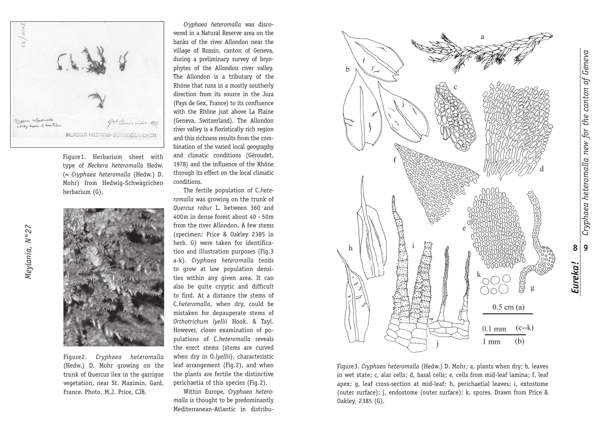

Figure 1. Herbarium sheet with type of *Neckera heteromalla* Hedw. (= *Cryphaea heteromalla* (Hedw.) D. Mohr) from Hedwig-Schwägrichen herbarium (G).



Figure 2. *Cryphaea heteromalla* (Hedw.) D. Mohr growing on the trunk of Quercus ilex in the garrigue vegetation, near St. Maximin, Gard, France. Photo. M.J. Price, CJB.

*Cryphaea heteromalla* was discovered in a Natural Reserve area on the banks of the river Allondon near the village of Russin, canton of Geneva, during a preliminary survey of bryophytes of the Allondon river valley. The Allondon is a tributary of the Rhône that runs in a mostly southerly direction from its source in the Jura (Pays de Gex, France) to its confluence with the Rhône just above La Plaine (Geneva, Switzerland). The Allondon river valley is a floristically rich region and this richness results from the combination of the varied local geography and climatic conditions (Géroudet, 1978) and the influence of the Rhône through its effect on the local climatic conditions.

The fertile population of C. *heteromalla* was growing on the trunk of *Quercus robur* L. between 360 and 400 m in dense forest about 40 - 50 m from the river Allondon. A few stems (specimen: Price & Oakley 2385 in herb. G) were taken for identification and illustration purposes (Fig. 3 a-k). *Cryphaea heteromalla* tends to grow at low population densities within any given area. It can also be quite cryptic and difficult to find. At a distance the stems of C. *heteromalla*, when dry, could be mistaken for depauperate stems of *Orthotrichum lyellii* Hook. & Tayl. However, closer examination of populations of *C. heteromalla* reveals the erect stems (stems are curved when dry in 0.*lyellii*), characteristic leaf arrangement (Fig. 2), and when the plants are fertile the distinctive perichaetia of this species (Fig. 2).

Within Europe, *Cryphaea heteromalla* is thought to be predominantly Mediterranean-Atlantic in distribu-



Figure 3. *Cryphaea heteromalla* (Hedw.) D. Mohr; a, plants when dry; b, leaves in wet state; c, alar cells; d, basal cells; e, cells from mid-leaf lamina; f, leaf apex; g, leaf cross-section at mid-leaf; h, perichaetial leaves: i, extostome (outer surface); j, endostome (outer surface); k, spores. Drawn from Price & 0akley, 2385 (G).